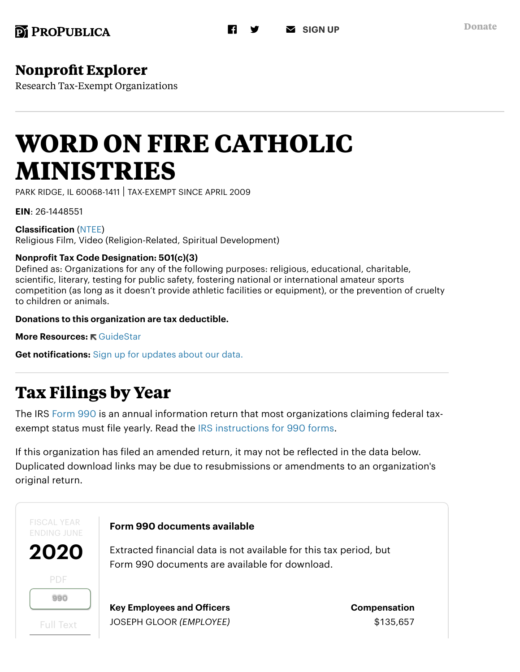# **[Nonprofit Explorer](https://projects.propublica.org/nonprofits/)**

Research Tax-Exempt Organizations

# **WORD ON FIRE CATHOLIC MINISTRIES**

PARK RIDGE, IL 60068-1411 | TAX-EXEMPT SINCE APRIL 2009

EIN: 26-1448551

Classification [\(NTEE\)](http://nccs.urban.org/classification/NTEE.cfm) Religious Film, Video (Religion-Related, Spiritual Development)

#### Nonprofit Tax Code Designation: 501(c)(3)

Defined as: Organizations for any of the following purposes: religious, educational, charitable, scientific, literary, testing for public safety, fostering national or international amateur sports competition (as long as it doesn't provide athletic facilities or equipment), or the prevention of cruelty to children or animals.

Donations to this organization are tax deductible.

More Resources: <del>R</del> [GuideStar](https://www.guidestar.org/profile/26-1448551)

Get notifications: [Sign up for updates about our data.](https://go.propublica.org/data-npe)

# **Tax Filings by Year**

The IRS [Form 990](https://www.irs.gov/pub/irs-pdf/f990.pdf) is an annual information return that most organizations claiming federal taxexempt status must file yearly. Read the [IRS instructions for 990 forms.](https://www.irs.gov/pub/irs-pdf/i990.pdf)

If this organization has filed an amended return, it may not be reflected in the data below. Duplicated download links may be due to resubmissions or amendments to an organization's original return.

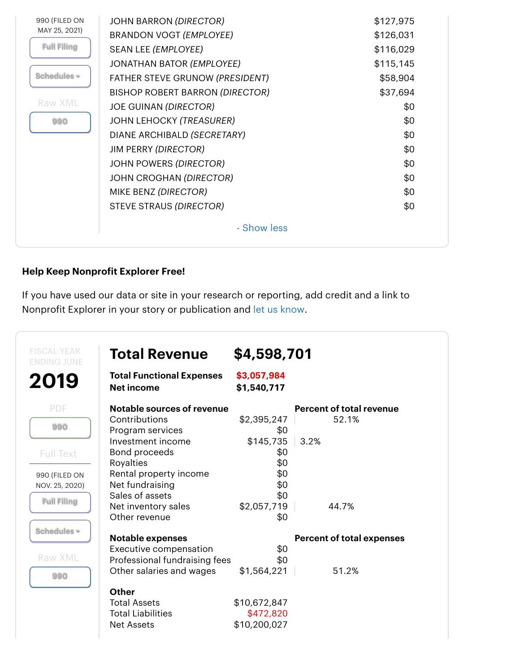| 990 (FILED ON      | <b>JOHN BARRON (DIRECTOR)</b>          | \$127,975 |
|--------------------|----------------------------------------|-----------|
| MAY 25, 2021)      | BRANDON VOGT (EMPLOYEE)                | \$126,031 |
| <b>Full Filing</b> | SEAN LEE (EMPLOYEE)                    | \$116,029 |
|                    | JONATHAN BATOR (EMPLOYEE)              | \$115,145 |
| Schedules -        | FATHER STEVE GRUNOW (PRESIDENT)        | \$58,904  |
|                    | <b>BISHOP ROBERT BARRON (DIRECTOR)</b> | \$37,694  |
| Raw XML            | <b>JOE GUINAN (DIRECTOR)</b>           | \$0       |
| 990                | <b>JOHN LEHOCKY (TREASURER)</b>        | \$0       |
|                    | DIANE ARCHIBALD (SECRETARY)            | \$0       |
|                    | <b>JIM PERRY (DIRECTOR)</b>            | \$0       |
|                    | <b>JOHN POWERS (DIRECTOR)</b>          | \$0       |
|                    | JOHN CROGHAN (DIRECTOR)                | \$0       |
|                    | MIKE BENZ (DIRECTOR)                   | \$0       |
|                    | STEVE STRAUS (DIRECTOR)                | \$0       |
|                    | - Show less                            |           |

#### Help Keep Nonprofit Explorer Free!

If you have used our data or site in your research or reporting, add credit and a link to Nonprofit Explorer in your story or publication and [let us know.](mailto:NonProfitExplorer@propublica.org?subject=Nonprofit%20Explorer%20citation)

| <b>FISCAL YEAR</b><br><b>ENDING JUNE</b> | <b>Total Revenue</b>                                  | \$4,598,701                |                                  |
|------------------------------------------|-------------------------------------------------------|----------------------------|----------------------------------|
| 2019                                     | <b>Total Functional Expenses</b><br><b>Net income</b> | \$3,057,984<br>\$1,540,717 |                                  |
| <b>PDF</b>                               | <b>Notable sources of revenue</b>                     |                            | <b>Percent of total revenue</b>  |
|                                          | Contributions                                         | \$2,395,247                | 52.1%                            |
| 990                                      | Program services                                      | \$0                        |                                  |
|                                          | Investment income                                     | \$145,735                  | 3.2%                             |
| <b>Full Text</b>                         | Bond proceeds                                         | \$0                        |                                  |
|                                          | Royalties                                             | \$0                        |                                  |
| 990 (FILED ON                            | Rental property income<br>Net fundraising             | \$0<br>\$0                 |                                  |
| NOV. 25, 2020)                           | Sales of assets                                       | \$0                        |                                  |
| <b>Full Filing</b>                       | Net inventory sales                                   | \$2,057,719                | 44.7%                            |
|                                          | Other revenue                                         | \$0                        |                                  |
| Schedules -                              |                                                       |                            |                                  |
|                                          | <b>Notable expenses</b>                               |                            | <b>Percent of total expenses</b> |
|                                          | Executive compensation                                | \$0                        |                                  |
| Raw XML                                  | Professional fundraising fees                         | \$0                        |                                  |
| 990                                      | Other salaries and wages                              | \$1,564,221                | 51.2%                            |
|                                          | <b>Other</b>                                          |                            |                                  |
|                                          | <b>Total Assets</b>                                   | \$10,672,847               |                                  |
|                                          | <b>Total Liabilities</b>                              | \$472,820                  |                                  |
|                                          | <b>Net Assets</b>                                     | \$10,200,027               |                                  |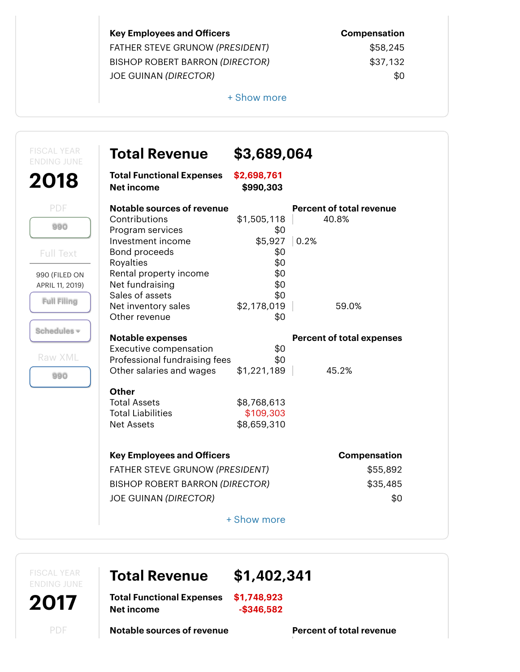| <b>Key Employees and Officers</b>      | <b>Compensation</b> |
|----------------------------------------|---------------------|
| FATHER STEVE GRUNOW (PRESIDENT)        | \$58,245            |
| <b>BISHOP ROBERT BARRON (DIRECTOR)</b> | \$37,132            |
| <b>JOE GUINAN (DIRECTOR)</b>           | \$0                 |

FATHER STEVE GRUNOW (*PRESIDENT*) \$58,245  $$37,132$ 

+ Show more

| <b>Total Revenue</b>                                  | \$3,689,064              |                                  |
|-------------------------------------------------------|--------------------------|----------------------------------|
| <b>Total Functional Expenses</b><br><b>Net income</b> | \$2,698,761<br>\$990,303 |                                  |
| <b>Notable sources of revenue</b>                     |                          | <b>Percent of total revenue</b>  |
| Contributions                                         | \$1,505,118              | 40.8%                            |
| Program services                                      | \$0                      |                                  |
| Investment income                                     | \$5,927                  | $\vert$ 0.2%                     |
| Bond proceeds                                         | \$0                      |                                  |
| Royalties                                             | \$0                      |                                  |
| Rental property income                                | \$0                      |                                  |
| Net fundraising<br>Sales of assets                    | \$0<br>\$0               |                                  |
| Net inventory sales                                   | \$2,178,019              | 59.0%                            |
| Other revenue                                         | \$0                      |                                  |
|                                                       |                          |                                  |
| <b>Notable expenses</b>                               |                          | <b>Percent of total expenses</b> |
| Executive compensation                                | \$0                      |                                  |
| Professional fundraising fees                         | \$0                      |                                  |
| Other salaries and wages                              | \$1,221,189              | 45.2%                            |
| <b>Other</b>                                          |                          |                                  |
| <b>Total Assets</b>                                   | \$8,768,613              |                                  |
| <b>Total Liabilities</b>                              | \$109,303                |                                  |
| <b>Net Assets</b>                                     | \$8,659,310              |                                  |
| <b>Key Employees and Officers</b>                     |                          | <b>Compensation</b>              |
| FATHER STEVE GRUNOW (PRESIDENT)                       |                          | \$55,892                         |
|                                                       |                          |                                  |
| <b>BISHOP ROBERT BARRON (DIRECTOR)</b>                |                          | \$35,485                         |
| <b>JOE GUINAN (DIRECTOR)</b>                          |                          | \$0                              |
|                                                       | + Show more              |                                  |

FISCAL YEAR ENDING JUNE

2017

Total Revenue \$1,402,341

Total Functional Expenses \$1,748,923 Net income  $-$ \$346,582

Notable sources of revenue **Percent of total revenue** 

PDF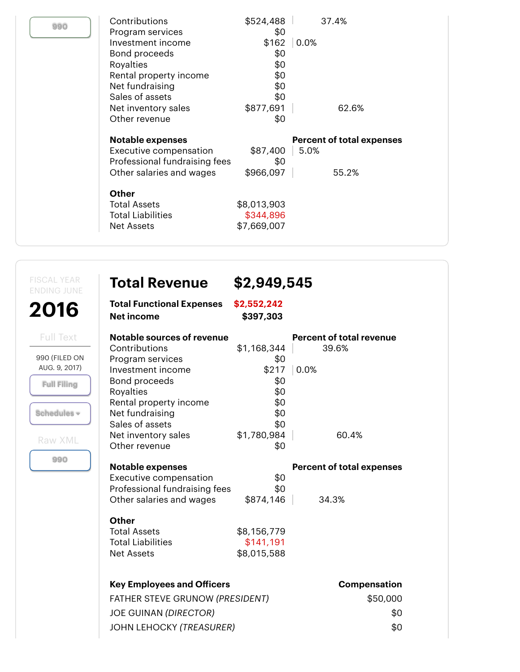| 990 | Contributions<br>Program services<br>Investment income<br>Bond proceeds<br>Royalties<br>Rental property income<br>Net fundraising<br>Sales of assets<br>Net inventory sales<br>Other revenue | \$524,488<br>\$0<br>\$162<br>\$0<br>\$0<br>\$0<br>\$0<br>\$0<br>\$877,691<br>\$0 | 37.4%<br>0.0%<br>62.6%                            |
|-----|----------------------------------------------------------------------------------------------------------------------------------------------------------------------------------------------|----------------------------------------------------------------------------------|---------------------------------------------------|
|     | <b>Notable expenses</b><br>Executive compensation<br>Professional fundraising fees<br>Other salaries and wages                                                                               | \$87,400<br>\$0<br>\$966,097                                                     | <b>Percent of total expenses</b><br>5.0%<br>55.2% |
|     | <b>Other</b><br><b>Total Assets</b><br>Total Liabilities<br>Net Assets                                                                                                                       | \$8,013,903<br>\$344,896<br>\$7,669,007                                          |                                                   |

FISCAL YEAR ENDING JUNE

2016

Full Text

990 (FILED ON AUG. 9, 2017)

[Full Filing](https://projects.propublica.org/nonprofits/organizations/261448551/201700729349300320/full)

Schedules **▾**

Raw XML

[990](https://s3.amazonaws.com/irs-form-990/201700729349300320_public.xml)

| <b>Total Revenue</b> | \$2,949,545 |  |
|----------------------|-------------|--|
|                      |             |  |

| <b>Total Functional Expenses</b> | \$2,552,242 |
|----------------------------------|-------------|
| Net income                       | \$397,303   |

| <b>Notable sources of revenue</b> |             | <b>Percent of total revenue</b>  |
|-----------------------------------|-------------|----------------------------------|
| Contributions                     | \$1,168,344 | 39.6%                            |
| Program services                  | \$0         |                                  |
| Investment income                 | \$217       | $ 0.0\%$                         |
| Bond proceeds                     | \$0         |                                  |
| Royalties                         | \$0         |                                  |
| Rental property income            | \$0         |                                  |
| Net fundraising                   | \$0         |                                  |
| Sales of assets                   | \$0         |                                  |
| Net inventory sales               | \$1,780,984 | 60.4%                            |
| Other revenue                     | \$0         |                                  |
| <b>Notable expenses</b>           |             | <b>Percent of total expenses</b> |
| Executive compensation            | \$0         |                                  |
| Professional fundraising fees     | \$0         |                                  |
| Other salaries and wages          | \$874,146   | 34.3%                            |
| <b>Other</b>                      |             |                                  |
| <b>Total Assets</b>               | \$8,156,779 |                                  |
| <b>Total Liabilities</b>          | \$141,191   |                                  |
| <b>Net Assets</b>                 | \$8,015,588 |                                  |
|                                   |             |                                  |
| <b>Key Employees and Officers</b> |             | Compensation                     |
| FATHER STEVE GRUNOW (PRESIDENT)   |             | \$50,000                         |
| <b>JOE GUINAN (DIRECTOR)</b>      |             | \$0                              |
| <b>JOHN LEHOCKY (TREASURER)</b>   |             | \$0                              |
|                                   |             |                                  |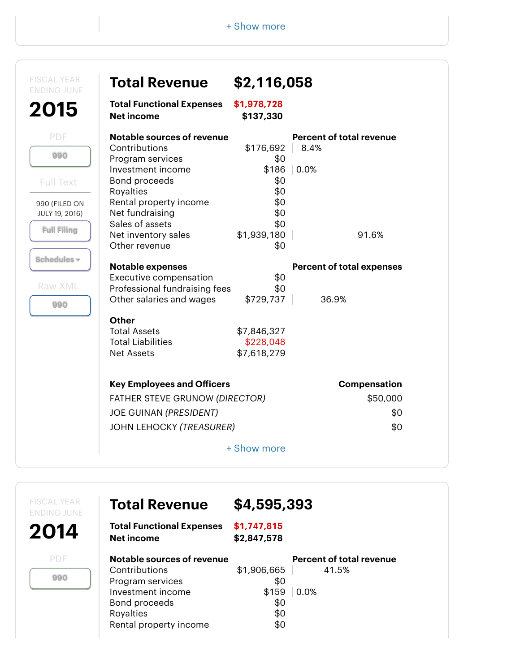| \$1,978,728<br>\$137,330<br>\$176,692<br>\$0<br>\$186<br>\$0<br>\$0<br>\$0<br>\$0<br>\$0<br>\$1,939,180<br>\$0<br>\$0<br>\$0<br>\$729,737 | <b>Percent of total revenue</b><br>8.4%<br>0.0%<br>91.6%<br><b>Percent of total expenses</b><br>36.9% |
|-------------------------------------------------------------------------------------------------------------------------------------------|-------------------------------------------------------------------------------------------------------|
|                                                                                                                                           |                                                                                                       |
|                                                                                                                                           |                                                                                                       |
|                                                                                                                                           |                                                                                                       |
|                                                                                                                                           |                                                                                                       |
|                                                                                                                                           |                                                                                                       |
|                                                                                                                                           |                                                                                                       |
|                                                                                                                                           |                                                                                                       |
|                                                                                                                                           |                                                                                                       |
|                                                                                                                                           |                                                                                                       |
|                                                                                                                                           |                                                                                                       |
|                                                                                                                                           |                                                                                                       |
|                                                                                                                                           |                                                                                                       |
|                                                                                                                                           |                                                                                                       |
|                                                                                                                                           |                                                                                                       |
|                                                                                                                                           |                                                                                                       |
| \$7,846,327                                                                                                                               |                                                                                                       |
| \$228,048<br>\$7,618,279                                                                                                                  |                                                                                                       |
|                                                                                                                                           |                                                                                                       |
|                                                                                                                                           | Compensation                                                                                          |
|                                                                                                                                           | \$50,000                                                                                              |
|                                                                                                                                           | \$0                                                                                                   |
|                                                                                                                                           | \$0                                                                                                   |
| + Show more                                                                                                                               | FATHER STEVE GRUNOW (DIRECTOR)                                                                        |

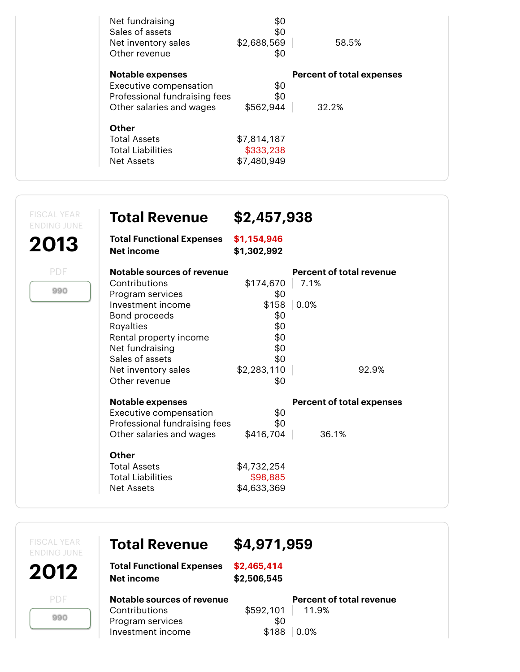| Net fundraising<br>Sales of assets<br>Net inventory sales<br>Other revenue | \$0<br>\$0<br>\$2,688,569<br>\$0 | 58.5%                            |
|----------------------------------------------------------------------------|----------------------------------|----------------------------------|
| <b>Notable expenses</b>                                                    |                                  | <b>Percent of total expenses</b> |
| Executive compensation                                                     | \$0                              |                                  |
| Professional fundraising fees                                              | \$0                              |                                  |
| Other salaries and wages                                                   | \$562,944                        | 32.2%                            |
| Other                                                                      |                                  |                                  |
| <b>Total Assets</b>                                                        | \$7,814,187                      |                                  |
| Total Liabilities                                                          | \$333,238                        |                                  |
| Net Assets                                                                 | \$7,480,949                      |                                  |
|                                                                            |                                  |                                  |

| <b>FISCAL YEAR</b><br><b>ENDING JUNE</b><br>2013 | <b>Total Revenue</b><br><b>Total Functional Expenses</b>                                                                                                                                                                                        | \$2,457,938<br>\$1,154,946                                                                        |                                                          |
|--------------------------------------------------|-------------------------------------------------------------------------------------------------------------------------------------------------------------------------------------------------------------------------------------------------|---------------------------------------------------------------------------------------------------|----------------------------------------------------------|
| PDF<br>990                                       | <b>Net income</b><br>Notable sources of revenue<br>Contributions<br>Program services<br>Investment income<br>Bond proceeds<br>Royalties<br>Rental property income<br>Net fundraising<br>Sales of assets<br>Net inventory sales<br>Other revenue | \$1,302,992<br>\$174,670<br>\$0<br>\$158<br>\$0<br>\$0<br>\$0<br>\$0<br>\$0<br>\$2,283,110<br>\$0 | <b>Percent of total revenue</b><br>7.1%<br>0.0%<br>92.9% |
|                                                  | <b>Notable expenses</b><br>Executive compensation<br>Professional fundraising fees<br>Other salaries and wages<br>Other<br><b>Total Assets</b><br><b>Total Liabilities</b><br><b>Net Assets</b>                                                 | \$0<br>\$0<br>\$416,704<br>\$4,732,254<br>\$98,885<br>\$4,633,369                                 | <b>Percent of total expenses</b><br>36.1%                |

| <b>FISCAL YEAR</b><br><b>ENDING JUNE</b> | <b>Total Revenue</b>                                                                 | \$4,971,959                |                                                  |
|------------------------------------------|--------------------------------------------------------------------------------------|----------------------------|--------------------------------------------------|
| 2012                                     | <b>Total Functional Expenses</b><br><b>Net income</b>                                | \$2,465,414<br>\$2,506,545 |                                                  |
| PDF<br>990                               | Notable sources of revenue<br>Contributions<br>Program services<br>Investment income | \$592,101<br>\$0<br>\$188  | <b>Percent of total revenue</b><br>11.9%<br>0.0% |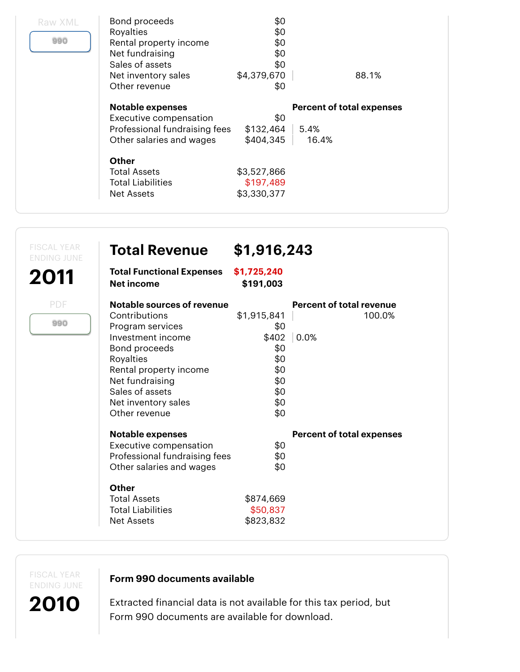| Raw XML<br>990 | Bond proceeds<br>Royalties<br>Rental property income<br>Net fundraising<br>Sales of assets<br>Net inventory sales<br>Other revenue | \$0<br>\$0<br>\$0<br>\$0<br>\$0<br>\$4,379,670<br>\$0 | 88.1%                            |
|----------------|------------------------------------------------------------------------------------------------------------------------------------|-------------------------------------------------------|----------------------------------|
|                | <b>Notable expenses</b>                                                                                                            |                                                       | <b>Percent of total expenses</b> |
|                | Executive compensation                                                                                                             | \$0                                                   |                                  |
|                | Professional fundraising fees                                                                                                      | \$132,464                                             | 5.4%                             |
|                | Other salaries and wages                                                                                                           | \$404,345                                             | 16.4%                            |
|                | Other                                                                                                                              |                                                       |                                  |
|                | <b>Total Assets</b>                                                                                                                | \$3,527,866                                           |                                  |
|                | Total Liabilities                                                                                                                  | \$197,489                                             |                                  |
|                | Net Assets                                                                                                                         | \$3,330,377                                           |                                  |
|                |                                                                                                                                    |                                                       |                                  |

| <b>FISCAL YEAR</b><br><b>Total Revenue</b><br><b>ENDING JUNE</b> | \$1,916,243              |                                  |
|------------------------------------------------------------------|--------------------------|----------------------------------|
| <b>Total Functional Expenses</b><br>2011<br><b>Net income</b>    | \$1,725,240<br>\$191,003 |                                  |
| PDF<br>Notable sources of revenue                                |                          | <b>Percent of total revenue</b>  |
| Contributions                                                    | \$1,915,841              | 100.0%                           |
| 990<br>Program services                                          | \$0                      |                                  |
| Investment income                                                | \$402                    | 0.0%                             |
| Bond proceeds                                                    | \$0                      |                                  |
| Royalties                                                        | \$0                      |                                  |
| Rental property income                                           | \$0                      |                                  |
| Net fundraising                                                  | \$0                      |                                  |
| Sales of assets                                                  | \$0                      |                                  |
| Net inventory sales                                              | \$0                      |                                  |
| Other revenue                                                    | \$0                      |                                  |
| <b>Notable expenses</b>                                          |                          | <b>Percent of total expenses</b> |
| Executive compensation                                           | \$0                      |                                  |
| Professional fundraising fees                                    | \$0                      |                                  |
| Other salaries and wages                                         | \$0                      |                                  |
| <b>Other</b>                                                     |                          |                                  |
| <b>Total Assets</b>                                              | \$874,669                |                                  |
| <b>Total Liabilities</b>                                         | \$50,837                 |                                  |
| <b>Net Assets</b>                                                | \$823,832                |                                  |

FISCAL YEAR ENDING JUNE

2010

#### Form 990 documents available

Extracted financial data is not available for this tax period, but Form 990 documents are available for download.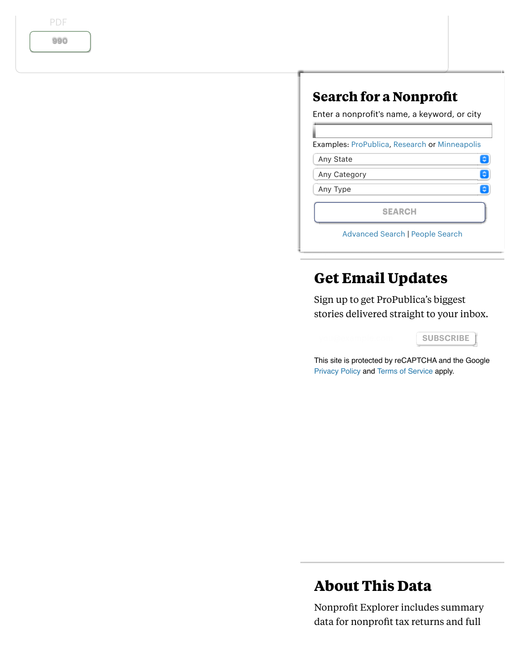PDF

[990](https://projects.propublica.org/nonprofits/display_990/261448551/2011_03_EO%2F26-1448551_990_201006)

## **Search for a Nonprofit**

Enter a nonprofit's name, a keyword, or city

Examples: [ProPublica](https://projects.propublica.org/nonprofits/search?q=ProPublica), [Research](https://projects.propublica.org/nonprofits/search?q=Research) or [Minneapolis](https://projects.propublica.org/nonprofits/search?q=Minneapolis)

| Any State |
|-----------|
|           |

Any Category

Any Type

SEARCH

[Advanced Search](https://projects.propublica.org/nonprofits/advanced_search) | [People Search](https://projects.propublica.org/nonprofits/name_search)

# **Get Email Updates**

Sign up to get ProPublica's biggest stories delivered straight to your inbox.

SUBSCRIBE<sup>1</sup>

 $\bullet$  $\bullet$ G

This site is protected by reCAPTCHA and the Google [Privacy Policy](https://policies.google.com/privacy) and [Terms of Service](https://policies.google.com/terms) apply.

# **About This Data**

Nonprofit Explorer includes summary data for nonprofit tax returns and full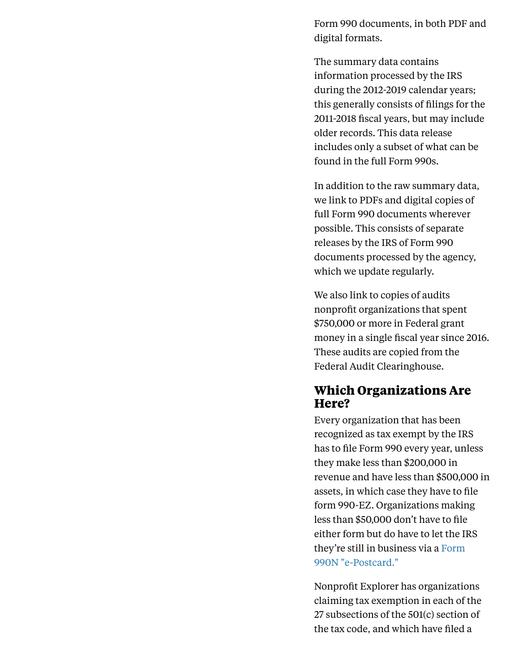Form 990 documents, in both PDF and digital formats.

The summary data contains information processed by the IRS during the 2012-2019 calendar years; this generally consists of filings for the 2011-2018 fiscal years, but may include older records. This data release includes only a subset of what can be found in the full Form 990s.

In addition to the raw summary data, we link to PDFs and digital copies of full Form 990 documents wherever possible. This consists of separate releases by the IRS of Form 990 documents processed by the agency, which we update regularly.

We also link to copies of audits nonprofit organizations that spent \$750,000 or more in Federal grant money in a single fiscal year since 2016. These audits are copied from the Federal Audit Clearinghouse.

#### **Which Organizations Are Here?**

Every organization that has been recognized as tax exempt by the IRS has to file Form 990 every year, unless they make less than \$200,000 in revenue and have less than \$500,000 in assets, in which case they have to file form 990-EZ. Organizations making less than \$50,000 don't have to file either form but do have to let the IRS [they're still in business via a Form](https://www.irs.gov/charities-non-profits/annual-electronic-filing-requirement-for-small-exempt-organizations-form-990-n-e-postcard) 990N "e-Postcard."

Nonprofit Explorer has organizations claiming tax exemption in each of the 27 subsections of the 501(c) section of the tax code, and which have filed a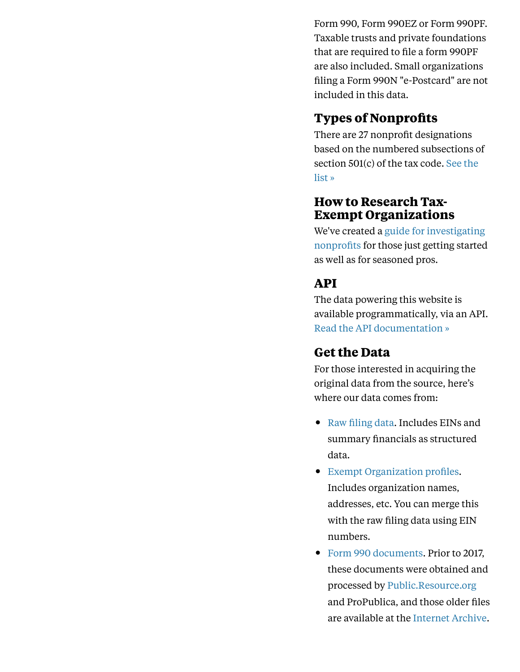Form 990, Form 990EZ or Form 990PF. Taxable trusts and private foundations that are required to file a form 990PF are also included. Small organizations filing a Form 990N "e-Postcard" are not included in this data.

#### **Types of Nonprofits**

There are 27 nonprofit designations based on the numbered subsections of [section 501\(c\) of the tax code. See the](https://projects.propublica.org/nonprofits/ctypes) list »

#### **How to Research Tax-Exempt Organizations**

[We've created a guide for investigating](https://www.propublica.org/nerds/item/resources-for-investigating-tax-exempt-organizations) nonprofits for those just getting started as well as for seasoned pros.

# **API**

The data powering this website is available programmatically, via an API. [Read the API documentation »](https://projects.propublica.org/nonprofits/api)

#### **Get the Data**

For those interested in acquiring the original data from the source, here's where our data comes from:

- [Raw filing data](https://www.irs.gov/uac/soi-tax-stats-annual-extract-of-tax-exempt-organization-financial-data). Includes EINs and summary financials as structured data.
- [Exempt Organization profiles](https://www.irs.gov/charities-non-profits/exempt-organizations-business-master-file-extract-eo-bmf). Includes organization names, addresses, etc. You can merge this with the raw filing data using EIN numbers.
- [Form 990 documents](https://www.irs.gov/charities-non-profits/form-990-series-downloads). Prior to 2017, these documents were obtained and processed by [Public.Resource.org](https://public.resource.org/) and ProPublica, and those older files are available at the [Internet Archive](https://archive.org/details/IRS990).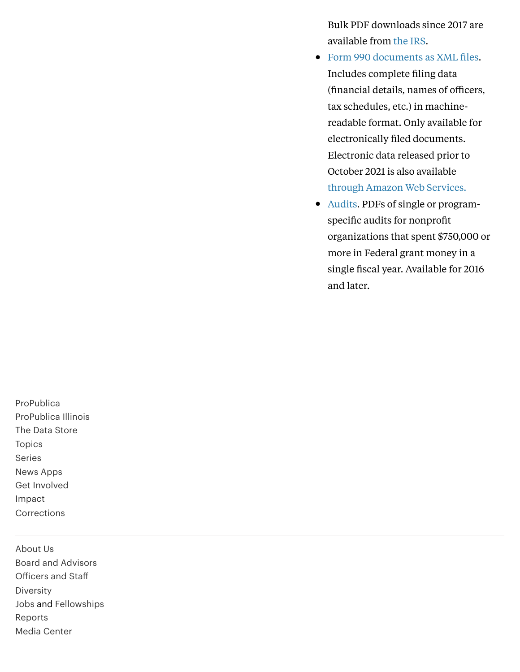Bulk PDF downloads since 2017 are available from [the IRS](https://www.irs.gov/charities-non-profits/form-990-series-downloads).

- [Form 990 documents as XML files.](https://www.irs.gov/charities-non-profits/form-990-series-downloads) Includes complete filing data (financial details, names of officers, tax schedules, etc.) in machinereadable format. Only available for electronically filed documents. Electronic data released prior to October 2021 is also available [through Amazon Web Services.](https://registry.opendata.aws/irs990/)
- [Audits.](https://harvester.census.gov/facdissem/Main.aspx) PDFs of single or programspecific audits for nonprofit organizations that spent \$750,000 or more in Federal grant money in a single fiscal year. Available for 2016 and later.

[ProPublica](https://www.propublica.org/) [ProPublica Illinois](https://www.propublica.org/illinois/) [The Data Store](https://www.propublica.org/datastore/) [Topics](https://www.propublica.org/topics) [Series](https://www.propublica.org/series) [News Apps](https://www.propublica.org/newsapps) [Get Involved](https://www.propublica.org/getinvolved) [Impact](https://www.propublica.org/impact) **[Corrections](https://www.propublica.org/corrections)** 

[About Us](https://www.propublica.org/about) [Board and Advisors](https://www.propublica.org/leadership) Off[icers and Sta](https://www.propublica.org/staff)ff [Diversity](https://www.propublica.org/diversity/) [Jobs](https://www.propublica.org/jobs) and [Fellowships](https://www.propublica.org/fellowships) [Reports](https://www.propublica.org/reports) [Media Center](https://www.propublica.org/media-center)